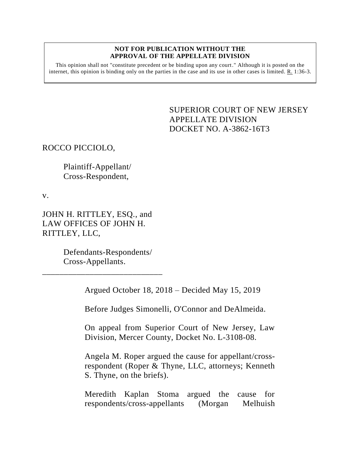## **NOT FOR PUBLICATION WITHOUT THE APPROVAL OF THE APPELLATE DIVISION**

This opinion shall not "constitute precedent or be binding upon any court." Although it is posted on the internet, this opinion is binding only on the parties in the case and its use in other cases is limited. R. 1:36-3.

> <span id="page-0-0"></span>SUPERIOR COURT OF NEW JERSEY APPELLATE DIVISION DOCKET NO. A-3862-16T3

ROCCO PICCIOLO,

Plaintiff-Appellant/ Cross-Respondent,

v.

JOHN H. RITTLEY, ESQ., and LAW OFFICES OF JOHN H. RITTLEY, LLC,

> Defendants-Respondents/ Cross-Appellants.

\_\_\_\_\_\_\_\_\_\_\_\_\_\_\_\_\_\_\_\_\_\_\_\_\_\_\_\_

Argued October 18, 2018 – Decided May 15, 2019

Before Judges Simonelli, O'Connor and DeAlmeida.

On appeal from Superior Court of New Jersey, Law Division, Mercer County, Docket No. L-3108-08.

Angela M. Roper argued the cause for appellant/crossrespondent (Roper & Thyne, LLC, attorneys; Kenneth S. Thyne, on the briefs).

Meredith Kaplan Stoma argued the cause for respondents/cross-appellants (Morgan Melhuish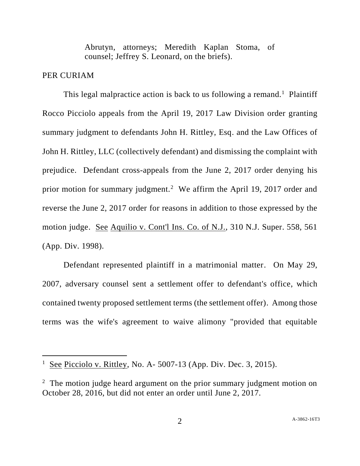Abrutyn, attorneys; Meredith Kaplan Stoma, of counsel; Jeffrey S. Leonard, on the briefs).

## PER CURIAM

l

This legal malpractice action is back to us following a remand.<sup>1</sup> Plaintiff Rocco Picciolo appeals from the April 19, 2017 Law Division order granting summary judgment to defendants John H. Rittley, Esq. and the Law Offices of John H. Rittley, LLC (collectively defendant) and dismissing the complaint with prejudice. Defendant cross-appeals from the June 2, 2017 order denying his prior motion for summary judgment.<sup>2</sup> We affirm the April 19, 2017 order and reverse the June 2, 2017 order for reasons in addition to those expressed by the motion judge. See Aquilio v. Cont'l Ins. Co. of N.J., 310 N.J. Super. 558, 561 (App. Div. 1998).

Defendant represented plaintiff in a matrimonial matter. On May 29, 2007, adversary counsel sent a settlement offer to defendant's office, which contained twenty proposed settlement terms (the settlement offer). Among those terms was the wife's agreement to waive alimony "provided that equitable

 $\frac{1}{1}$  See Picciolo v. Rittley, No. A- 5007-13 (App. Div. Dec. 3, 2015).

<sup>&</sup>lt;sup>2</sup> The motion judge heard argument on the prior summary judgment motion on October 28, 2016, but did not enter an order until June 2, 2017.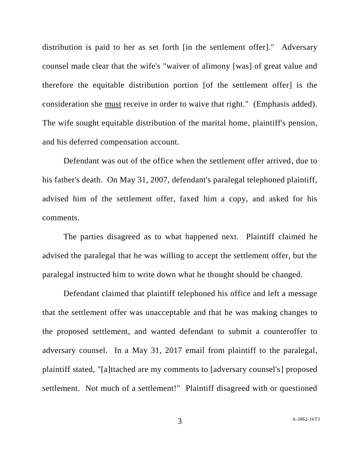distribution is paid to her as set forth [in the settlement offer]." Adversary counsel made clear that the wife's "waiver of alimony [was] of great value and therefore the equitable distribution portion [of the settlement offer] is the consideration she must receive in order to waive that right." (Emphasis added). The wife sought equitable distribution of the marital home, plaintiff's pension, and his deferred compensation account.

Defendant was out of the office when the settlement offer arrived, due to his father's death. On May 31, 2007, defendant's paralegal telephoned plaintiff, advised him of the settlement offer, faxed him a copy, and asked for his comments.

The parties disagreed as to what happened next. Plaintiff claimed he advised the paralegal that he was willing to accept the settlement offer, but the paralegal instructed him to write down what he thought should be changed.

Defendant claimed that plaintiff telephoned his office and left a message that the settlement offer was unacceptable and that he was making changes to the proposed settlement, and wanted defendant to submit a counteroffer to adversary counsel. In a May 31, 2017 email from plaintiff to the paralegal, plaintiff stated, "[a]ttached are my comments to [adversary counsel's] proposed settlement. Not much of a settlement!" Plaintiff disagreed with or questioned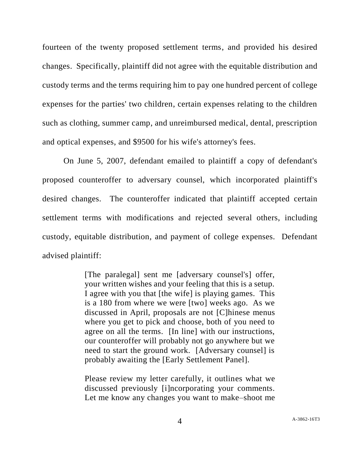fourteen of the twenty proposed settlement terms, and provided his desired changes. Specifically, plaintiff did not agree with the equitable distribution and custody terms and the terms requiring him to pay one hundred percent of college expenses for the parties' two children, certain expenses relating to the children such as clothing, summer camp, and unreimbursed medical, dental, prescription and optical expenses, and \$9500 for his wife's attorney's fees.

On June 5, 2007, defendant emailed to plaintiff a copy of defendant's proposed counteroffer to adversary counsel, which incorporated plaintiff's desired changes. The counteroffer indicated that plaintiff accepted certain settlement terms with modifications and rejected several others, including custody, equitable distribution, and payment of college expenses. Defendant advised plaintiff:

> [The paralegal] sent me [adversary counsel's] offer, your written wishes and your feeling that this is a setup. I agree with you that [the wife] is playing games. This is a 180 from where we were [two] weeks ago. As we discussed in April, proposals are not [C]hinese menus where you get to pick and choose, both of you need to agree on all the terms. [In line] with our instructions, our counteroffer will probably not go anywhere but we need to start the ground work. [Adversary counsel] is probably awaiting the [Early Settlement Panel].

> Please review my letter carefully, it outlines what we discussed previously [i]ncorporating your comments. Let me know any changes you want to make–shoot me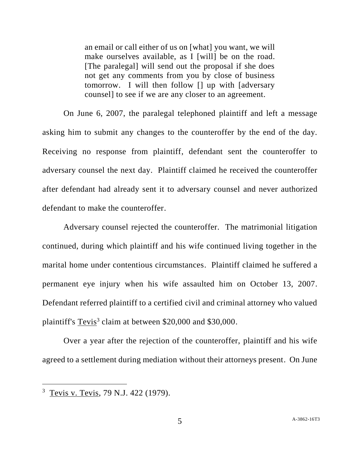an email or call either of us on [what] you want, we will make ourselves available, as I [will] be on the road. [The paralegal] will send out the proposal if she does not get any comments from you by close of business tomorrow. I will then follow [] up with [adversary counsel] to see if we are any closer to an agreement.

On June 6, 2007, the paralegal telephoned plaintiff and left a message asking him to submit any changes to the counteroffer by the end of the day. Receiving no response from plaintiff, defendant sent the counteroffer to adversary counsel the next day. Plaintiff claimed he received the counteroffer after defendant had already sent it to adversary counsel and never authorized defendant to make the counteroffer.

Adversary counsel rejected the counteroffer. The matrimonial litigation continued, during which plaintiff and his wife continued living together in the marital home under contentious circumstances. Plaintiff claimed he suffered a permanent eye injury when his wife assaulted him on October 13, 2007. Defendant referred plaintiff to a certified civil and criminal attorney who valued plaintiff's Tevis<sup>3</sup> claim at between \$20,000 and \$30,000.

Over a year after the rejection of the counteroffer, plaintiff and his wife agreed to a settlement during mediation without their attorneys present. On June

l

<sup>&</sup>lt;sup>3</sup> Tevis v. Tevis, 79 N.J. 422 (1979).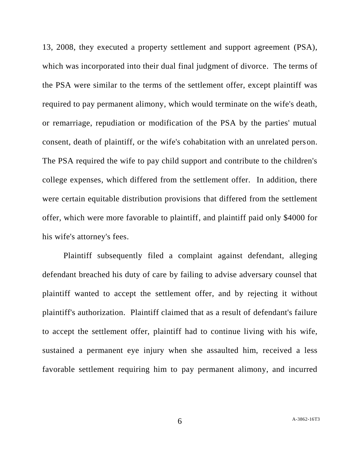13, 2008, they executed a property settlement and support agreement (PSA), which was incorporated into their dual final judgment of divorce. The terms of the PSA were similar to the terms of the settlement offer, except plaintiff was required to pay permanent alimony, which would terminate on the wife's death, or remarriage, repudiation or modification of the PSA by the parties' mutual consent, death of plaintiff, or the wife's cohabitation with an unrelated person. The PSA required the wife to pay child support and contribute to the children's college expenses, which differed from the settlement offer. In addition, there were certain equitable distribution provisions that differed from the settlement offer, which were more favorable to plaintiff, and plaintiff paid only \$4000 for his wife's attorney's fees.

Plaintiff subsequently filed a complaint against defendant, alleging defendant breached his duty of care by failing to advise adversary counsel that plaintiff wanted to accept the settlement offer, and by rejecting it without plaintiff's authorization. Plaintiff claimed that as a result of defendant's failure to accept the settlement offer, plaintiff had to continue living with his wife, sustained a permanent eye injury when she assaulted him, received a less favorable settlement requiring him to pay permanent alimony, and incurred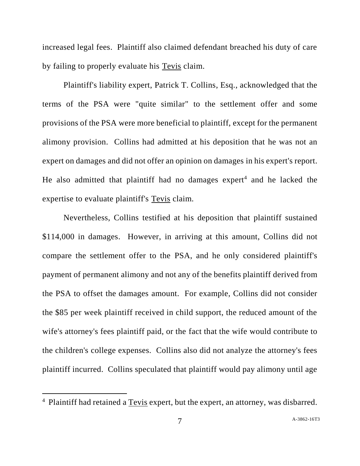increased legal fees. Plaintiff also claimed defendant breached his duty of care by failing to properly evaluate his Tevis claim.

Plaintiff's liability expert, Patrick T. Collins, Esq., acknowledged that the terms of the PSA were "quite similar" to the settlement offer and some provisions of the PSA were more beneficial to plaintiff, except for the permanent alimony provision. Collins had admitted at his deposition that he was not an expert on damages and did not offer an opinion on damages in his expert's report. He also admitted that plaintiff had no damages  $expert<sup>4</sup>$  and he lacked the expertise to evaluate plaintiff's Tevis claim.

Nevertheless, Collins testified at his deposition that plaintiff sustained \$114,000 in damages. However, in arriving at this amount, Collins did not compare the settlement offer to the PSA, and he only considered plaintiff's payment of permanent alimony and not any of the benefits plaintiff derived from the PSA to offset the damages amount. For example, Collins did not consider the \$85 per week plaintiff received in child support, the reduced amount of the wife's attorney's fees plaintiff paid, or the fact that the wife would contribute to the children's college expenses. Collins also did not analyze the attorney's fees plaintiff incurred. Collins speculated that plaintiff would pay alimony until age

 $\overline{a}$ 

<sup>&</sup>lt;sup>4</sup> Plaintiff had retained a Tevis expert, but the expert, an attorney, was disbarred.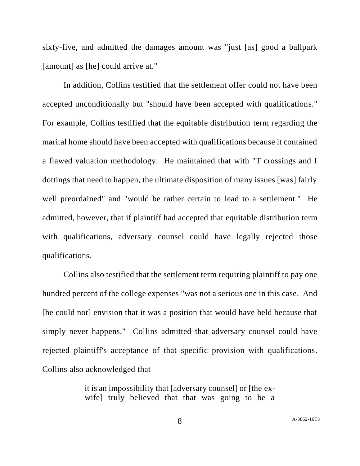sixty-five, and admitted the damages amount was "just [as] good a ballpark [amount] as [he] could arrive at."

In addition, Collins testified that the settlement offer could not have been accepted unconditionally but "should have been accepted with qualifications." For example, Collins testified that the equitable distribution term regarding the marital home should have been accepted with qualifications because it contained a flawed valuation methodology. He maintained that with "T crossings and I dottings that need to happen, the ultimate disposition of many issues [was] fairly well preordained" and "would be rather certain to lead to a settlement." He admitted, however, that if plaintiff had accepted that equitable distribution term with qualifications, adversary counsel could have legally rejected those qualifications.

Collins also testified that the settlement term requiring plaintiff to pay one hundred percent of the college expenses "was not a serious one in this case. And [he could not] envision that it was a position that would have held because that simply never happens." Collins admitted that adversary counsel could have rejected plaintiff's acceptance of that specific provision with qualifications. Collins also acknowledged that

> it is an impossibility that [adversary counsel] or [the exwife] truly believed that that was going to be a

8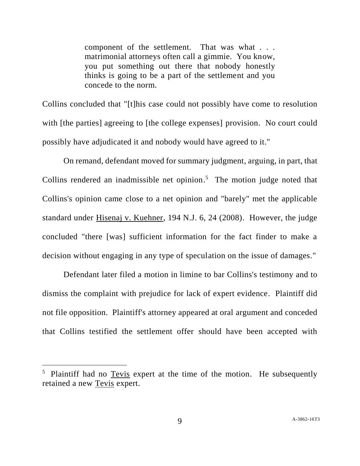component of the settlement. That was what . . . matrimonial attorneys often call a gimmie. You know, you put something out there that nobody honestly thinks is going to be a part of the settlement and you concede to the norm.

Collins concluded that "[t]his case could not possibly have come to resolution with [the parties] agreeing to [the college expenses] provision. No court could possibly have adjudicated it and nobody would have agreed to it."

On remand, defendant moved for summary judgment, arguing, in part, that Collins rendered an inadmissible net opinion.<sup>5</sup> The motion judge noted that Collins's opinion came close to a net opinion and "barely" met the applicable standard under Hisenaj v. Kuehner, 194 N.J. 6, 24 (2008). However, the judge concluded "there [was] sufficient information for the fact finder to make a decision without engaging in any type of speculation on the issue of damages."

Defendant later filed a motion in limine to bar Collins's testimony and to dismiss the complaint with prejudice for lack of expert evidence. Plaintiff did not file opposition. Plaintiff's attorney appeared at oral argument and conceded that Collins testified the settlement offer should have been accepted with

l

<sup>&</sup>lt;sup>5</sup> Plaintiff had no Tevis expert at the time of the motion. He subsequently retained a new Tevis expert.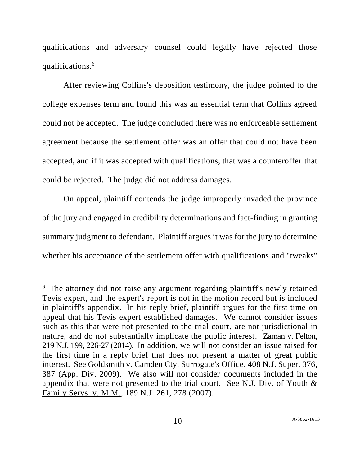qualifications and adversary counsel could legally have rejected those qualifications.<sup>6</sup>

After reviewing Collins's deposition testimony, the judge pointed to the college expenses term and found this was an essential term that Collins agreed could not be accepted. The judge concluded there was no enforceable settlement agreement because the settlement offer was an offer that could not have been accepted, and if it was accepted with qualifications, that was a counteroffer that could be rejected. The judge did not address damages.

On appeal, plaintiff contends the judge improperly invaded the province of the jury and engaged in credibility determinations and fact-finding in granting summary judgment to defendant. Plaintiff argues it was for the jury to determine whether his acceptance of the settlement offer with qualifications and "tweaks"

 $\overline{a}$ 

<sup>&</sup>lt;sup>6</sup> The attorney did not raise any argument regarding plaintiff's newly retained Tevis expert, and the expert's report is not in the motion record but is included in plaintiff's appendix. In his reply brief, plaintiff argues for the first time on appeal that his Tevis expert established damages. We cannot consider issues such as this that were not presented to the trial court, are not jurisdictional in nature, and do not substantially implicate the public interest. Zaman v. Felton, 219 N.J. 199, 226-27 (2014). In addition, we will not consider an issue raised for the first time in a reply brief that does not present a matter of great public interest. See Goldsmith v. Camden Cty. Surrogate's Office, 408 N.J. Super. 376, 387 (App. Div. 2009). We also will not consider documents included in the appendix that were not presented to the trial court. See N.J. Div. of Youth & Family Servs. v. M.M., 189 N.J. 261, 278 (2007).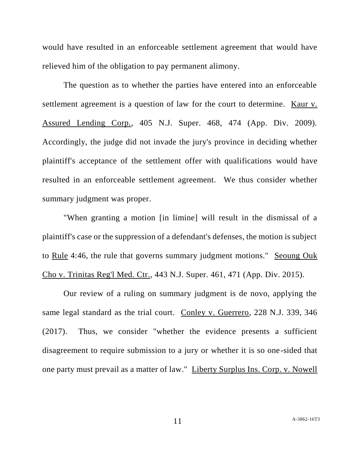would have resulted in an enforceable settlement agreement that would have relieved him of the obligation to pay permanent alimony.

The question as to whether the parties have entered into an enforceable settlement agreement is a question of law for the court to determine. Kaur v. Assured Lending Corp., 405 N.J. Super. 468, 474 (App. Div. 2009). Accordingly, the judge did not invade the jury's province in deciding whether plaintiff's acceptance of the settlement offer with qualifications would have resulted in an enforceable settlement agreement. We thus consider whether summary judgment was proper.

"When granting a motion [in limine] will result in the dismissal of a plaintiff's case or the suppression of a defendant's defenses, the motion is subject to Rule 4:46, the rule that governs summary judgment motions." Seoung Ouk Cho v. Trinitas Reg'l Med. Ctr., 443 N.J. Super. 461, 471 (App. Div. 2015).

Our review of a ruling on summary judgment is de novo, applying the same legal standard as the trial court. Conley v. Guerrero, 228 N.J. 339, 346 (2017). Thus, we consider "whether the evidence presents a sufficient disagreement to require submission to a jury or whether it is so one-sided that one party must prevail as a matter of law." Liberty Surplus Ins. Corp. v. Nowell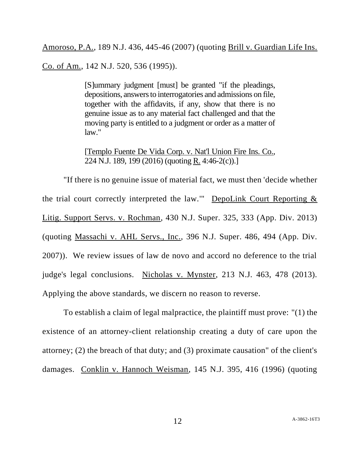Amoroso, P.A., 189 N.J. 436, 445-46 (2007) (quoting Brill v. Guardian Life Ins.

Co. of Am., 142 N.J. 520, 536 (1995)).

[S]ummary judgment [must] be granted "if the pleadings, depositions, answers to interrogatories and admissions on file, together with the affidavits, if any, show that there is no genuine issue as to any material fact challenged and that the moving party is entitled to a judgment or order as a matter of law."

[Templo Fuente De Vida Corp. v. Nat'l Union Fire Ins. Co., 224 N.J. 189, 199 (2016) (quoting R. 4:46-2(c)).]

"If there is no genuine issue of material fact, we must then 'decide whether the trial court correctly interpreted the law." DepoLink Court Reporting  $\&$ Litig. Support Servs. v. Rochman, 430 N.J. Super. 325, 333 (App. Div. 2013) (quoting Massachi v. AHL Servs., Inc., 396 N.J. Super. 486, 494 (App. Div. 2007)). We review issues of law de novo and accord no deference to the trial judge's legal conclusions. Nicholas v. Mynster, 213 N.J. 463, 478 (2013). Applying the above standards, we discern no reason to reverse.

To establish a claim of legal malpractice, the plaintiff must prove: "(1) the existence of an attorney-client relationship creating a duty of care upon the attorney; (2) the breach of that duty; and (3) proximate causation" of the client's damages. Conklin v. Hannoch Weisman, 145 N.J. 395, 416 (1996) (quoting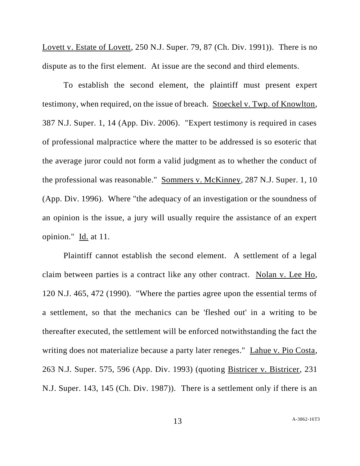Lovett v. Estate of Lovett, 250 N.J. Super. 79, 87 (Ch. Div. 1991)). There is no dispute as to the first element. At issue are the second and third elements.

To establish the second element, the plaintiff must present expert testimony, when required, on the issue of breach. Stoeckel v. Twp. of Knowlton, 387 N.J. Super. 1, 14 (App. Div. 2006). "Expert testimony is required in cases of professional malpractice where the matter to be addressed is so esoteric that the average juror could not form a valid judgment as to whether the conduct of the professional was reasonable." Sommers v. McKinney, 287 N.J. Super. 1, 10 (App. Div. 1996). Where "the adequacy of an investigation or the soundness of an opinion is the issue, a jury will usually require the assistance of an expert opinion." Id. at 11.

Plaintiff cannot establish the second element. A settlement of a legal claim between parties is a contract like any other contract. Nolan v. Lee Ho, 120 N.J. 465, 472 (1990). "Where the parties agree upon the essential terms of a settlement, so that the mechanics can be 'fleshed out' in a writing to be thereafter executed, the settlement will be enforced notwithstanding the fact the writing does not materialize because a party later reneges." Lahue v. Pio Costa, 263 N.J. Super. 575, 596 (App. Div. 1993) (quoting Bistricer v. Bistricer, 231 N.J. Super. 143, 145 (Ch. Div. 1987)). There is a settlement only if there is an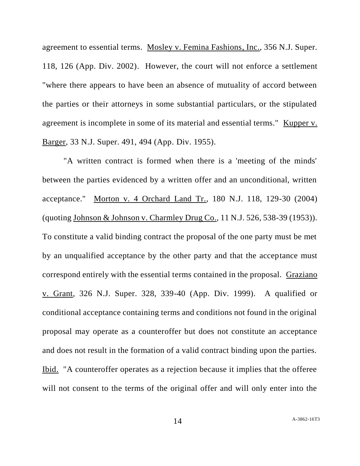agreement to essential terms. Mosley v. Femina Fashions, Inc., 356 N.J. Super. 118, 126 (App. Div. 2002). However, the court will not enforce a settlement "where there appears to have been an absence of mutuality of accord between the parties or their attorneys in some substantial particulars, or the stipulated agreement is incomplete in some of its material and essential terms." Kupper v. Barger, 33 N.J. Super. 491, 494 (App. Div. 1955).

"A written contract is formed when there is a 'meeting of the minds' between the parties evidenced by a written offer and an unconditional, written acceptance." Morton v. 4 Orchard Land Tr., 180 N.J. 118, 129-30 (2004) (quoting Johnson & Johnson v. Charmley Drug Co., 11 N.J. 526, 538-39 (1953)). To constitute a valid binding contract the proposal of the one party must be met by an unqualified acceptance by the other party and that the acceptance must correspond entirely with the essential terms contained in the proposal. Graziano v. Grant, 326 N.J. Super. 328, 339-40 (App. Div. 1999). A qualified or conditional acceptance containing terms and conditions not found in the original proposal may operate as a counteroffer but does not constitute an acceptance and does not result in the formation of a valid contract binding upon the parties. Ibid. "A counteroffer operates as a rejection because it implies that the offeree will not consent to the terms of the original offer and will only enter into the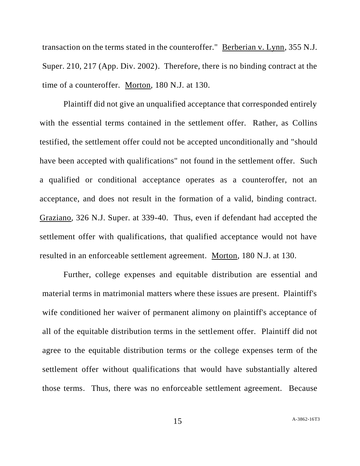transaction on the terms stated in the counteroffer." Berberian v. Lynn, 355 N.J. Super. 210, 217 (App. Div. 2002). Therefore, there is no binding contract at the time of a counteroffer. Morton, 180 N.J. at 130.

Plaintiff did not give an unqualified acceptance that corresponded entirely with the essential terms contained in the settlement offer. Rather, as Collins testified, the settlement offer could not be accepted unconditionally and "should have been accepted with qualifications" not found in the settlement offer. Such a qualified or conditional acceptance operates as a counteroffer, not an acceptance, and does not result in the formation of a valid, binding contract. Graziano, 326 N.J. Super. at 339-40. Thus, even if defendant had accepted the settlement offer with qualifications, that qualified acceptance would not have resulted in an enforceable settlement agreement. Morton, 180 N.J. at 130.

Further, college expenses and equitable distribution are essential and material terms in matrimonial matters where these issues are present. Plaintiff's wife conditioned her waiver of permanent alimony on plaintiff's acceptance of all of the equitable distribution terms in the settlement offer. Plaintiff did not agree to the equitable distribution terms or the college expenses term of the settlement offer without qualifications that would have substantially altered those terms. Thus, there was no enforceable settlement agreement. Because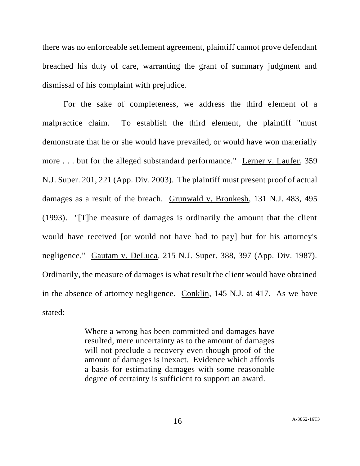there was no enforceable settlement agreement, plaintiff cannot prove defendant breached his duty of care, warranting the grant of summary judgment and dismissal of his complaint with prejudice.

For the sake of completeness, we address the third element of a malpractice claim. To establish the third element, the plaintiff "must demonstrate that he or she would have prevailed, or would have won materially more ... but for the alleged substandard performance." Lerner v. Laufer, 359 N.J. Super. 201, 221 (App. Div. 2003). The plaintiff must present proof of actual damages as a result of the breach. Grunwald v. Bronkesh, 131 N.J. 483, 495 (1993). "[T]he measure of damages is ordinarily the amount that the client would have received [or would not have had to pay] but for his attorney's negligence." Gautam v. DeLuca, 215 N.J. Super. 388, 397 (App. Div. 1987). Ordinarily, the measure of damages is what result the client would have obtained in the absence of attorney negligence. Conklin, 145 N.J. at 417. As we have stated:

> Where a wrong has been committed and damages have resulted, mere uncertainty as to the amount of damages will not preclude a recovery even though proof of the amount of damages is inexact. Evidence which affords a basis for estimating damages with some reasonable degree of certainty is sufficient to support an award.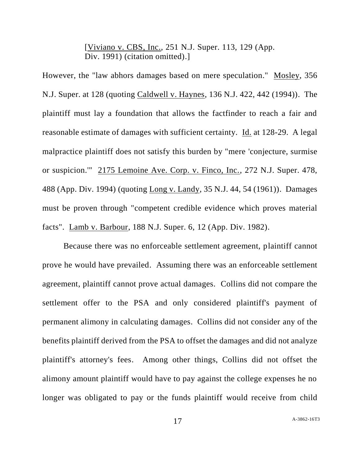[Viviano v. CBS, Inc., 251 N.J. Super. 113, 129 (App. Div. 1991) (citation omitted).]

However, the "law abhors damages based on mere speculation." Mosley, 356 N.J. Super. at 128 (quoting Caldwell v. Haynes, 136 N.J. 422, 442 (1994)). The plaintiff must lay a foundation that allows the factfinder to reach a fair and reasonable estimate of damages with sufficient certainty. Id. at 128-29. A legal malpractice plaintiff does not satisfy this burden by "mere 'conjecture, surmise or suspicion.'" 2175 Lemoine Ave. Corp. v. Finco, Inc., 272 N.J. Super. 478, 488 (App. Div. 1994) (quoting Long v. Landy, 35 N.J. 44, 54 (1961)). Damages must be proven through "competent credible evidence which proves material facts". Lamb v. Barbour, 188 N.J. Super. 6, 12 (App. Div. 1982).

Because there was no enforceable settlement agreement, plaintiff cannot prove he would have prevailed. Assuming there was an enforceable settlement agreement, plaintiff cannot prove actual damages. Collins did not compare the settlement offer to the PSA and only considered plaintiff's payment of permanent alimony in calculating damages. Collins did not consider any of the benefits plaintiff derived from the PSA to offset the damages and did not analyze plaintiff's attorney's fees. Among other things, Collins did not offset the alimony amount plaintiff would have to pay against the college expenses he no longer was obligated to pay or the funds plaintiff would receive from child